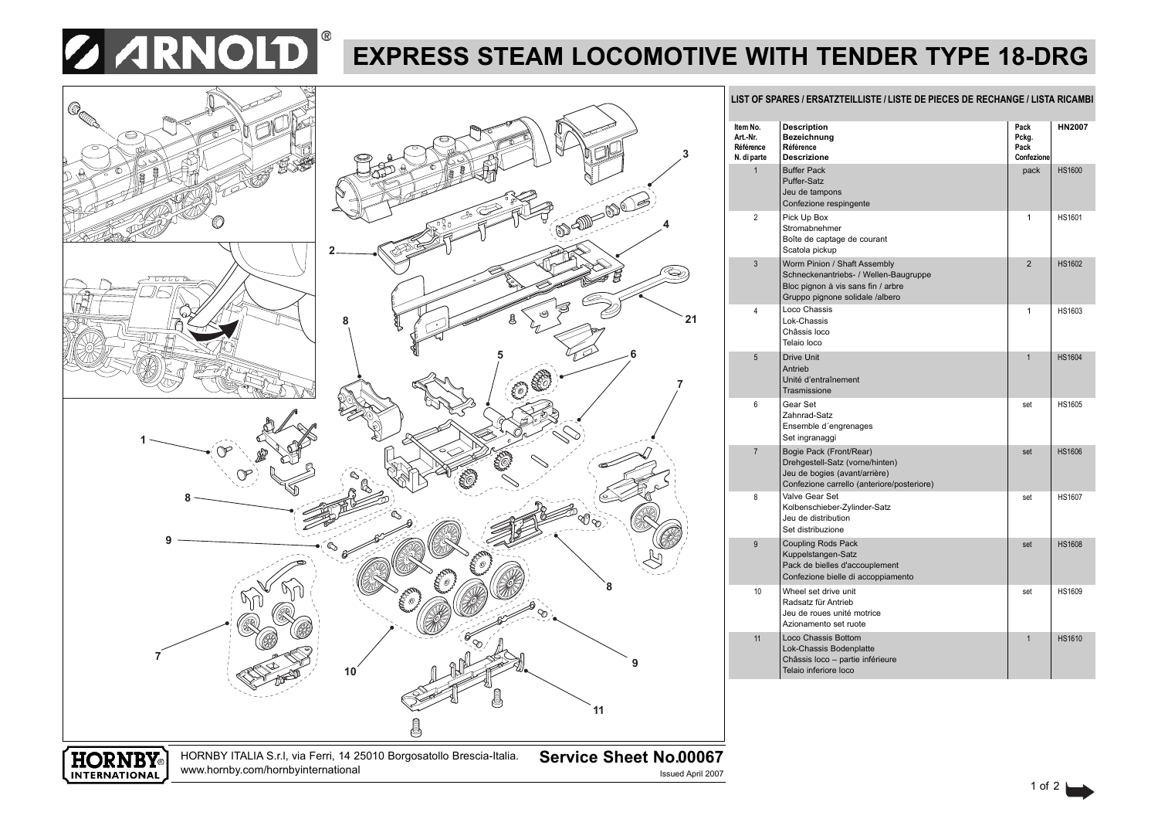

## **EXPRESS STEAM LOCOMOTIVE WITH TENDER TYPE 18-DRG**

**3**

**21**

**7**



| Item No.<br>Art.-Nr.<br>Référence<br>N. di parte | <b>Description</b><br>Bezeichnung<br>Référence<br><b>Descrizione</b>                                                                           | Pack<br>Pckg.<br>Pack<br>Confezione | <b>HN2007</b> |
|--------------------------------------------------|------------------------------------------------------------------------------------------------------------------------------------------------|-------------------------------------|---------------|
| $\overline{1}$                                   | <b>Buffer Pack</b><br>Puffer-Satz<br>Jeu de tampons<br>Confezione respingente                                                                  | pack                                | <b>HS1600</b> |
| $\overline{2}$                                   | Pick Up Box<br>Stromabnehmer<br>Boîte de captage de courant<br>Scatola pickup                                                                  | 1                                   | <b>HS1601</b> |
| 3                                                | Worm Pinion / Shaft Assembly<br>Schneckenantriebs- / Wellen-Baugruppe<br>Bloc pignon à vis sans fin / arbre<br>Gruppo pignone solidale /albero | $\overline{2}$                      | <b>HS1602</b> |
| 4                                                | Loco Chassis<br>Lok-Chassis<br>Châssis loco<br>Telaio loco                                                                                     | 1                                   | HS1603        |
| 5                                                | <b>Drive Unit</b><br>Antrieb<br>Unité d'entraînement<br>Trasmissione                                                                           | $\overline{1}$                      | <b>HS1604</b> |
| 6                                                | Gear Set<br>Zahnrad-Satz<br>Ensemble d'engrenages<br>Set ingranaggi                                                                            | set                                 | <b>HS1605</b> |
| $\overline{7}$                                   | Bogie Pack (Front/Rear)<br>Drehgestell-Satz (vorne/hinten)<br>Jeu de bogies (avant/arrière)<br>Confezione carrello (anteriore/posteriore)      | set                                 | <b>HS1606</b> |
| 8                                                | Valve Gear Set<br>Kolbenschieber-Zylinder-Satz<br>Jeu de distribution<br>Set distribuzione                                                     | set                                 | <b>HS1607</b> |
| 9                                                | <b>Coupling Rods Pack</b><br>Kuppelstangen-Satz<br>Pack de bielles d'accouplement<br>Confezione bielle di accoppiamento                        | set                                 | <b>HS1608</b> |
| 10                                               | Wheel set drive unit<br>Radsatz für Antrieb<br>Jeu de roues unité motrice<br>Azionamento set ruote                                             | set                                 | <b>HS1609</b> |
| 11                                               | Loco Chassis Bottom<br>Lok-Chassis Bodenplatte<br>Châssis loco - partie inférieure<br>Telaio inferiore loco                                    | $\overline{1}$                      | <b>HS1610</b> |

LIST OF SPARES / ERSATZTEILLISTE / LISTE DE PIECES DE RECHANGE / LISTA RICAMBI